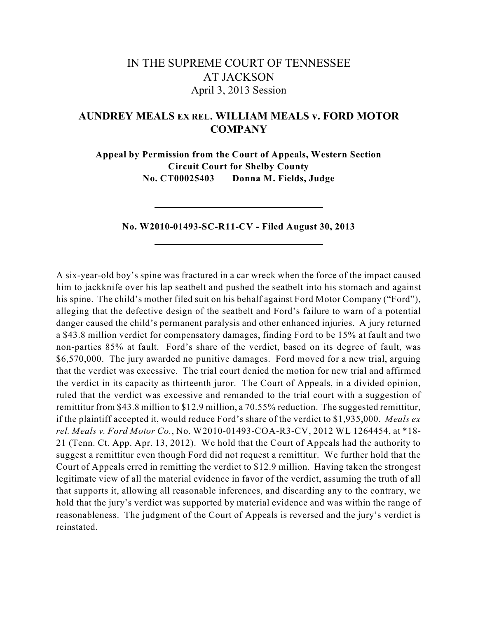# IN THE SUPREME COURT OF TENNESSEE AT JACKSON April 3, 2013 Session

## **AUNDREY MEALS EX REL. WILLIAM MEALS v. FORD MOTOR COMPANY**

**Appeal by Permission from the Court of Appeals, Western Section Circuit Court for Shelby County No. CT00025403 Donna M. Fields, Judge**

**No. W2010-01493-SC-R11-CV - Filed August 30, 2013**

A six-year-old boy's spine was fractured in a car wreck when the force of the impact caused him to jackknife over his lap seatbelt and pushed the seatbelt into his stomach and against his spine. The child's mother filed suit on his behalf against Ford Motor Company ("Ford"), alleging that the defective design of the seatbelt and Ford's failure to warn of a potential danger caused the child's permanent paralysis and other enhanced injuries. A jury returned a \$43.8 million verdict for compensatory damages, finding Ford to be 15% at fault and two non-parties 85% at fault. Ford's share of the verdict, based on its degree of fault, was \$6,570,000. The jury awarded no punitive damages. Ford moved for a new trial, arguing that the verdict was excessive. The trial court denied the motion for new trial and affirmed the verdict in its capacity as thirteenth juror. The Court of Appeals, in a divided opinion, ruled that the verdict was excessive and remanded to the trial court with a suggestion of remittitur from \$43.8 million to \$12.9 million, a 70.55% reduction. The suggested remittitur, if the plaintiff accepted it, would reduce Ford's share of the verdict to \$1,935,000. *Meals ex rel. Meals v. Ford Motor Co.*, No. W2010-01493-COA-R3-CV, 2012 WL 1264454, at \*18- 21 (Tenn. Ct. App. Apr. 13, 2012). We hold that the Court of Appeals had the authority to suggest a remittitur even though Ford did not request a remittitur. We further hold that the Court of Appeals erred in remitting the verdict to \$12.9 million. Having taken the strongest legitimate view of all the material evidence in favor of the verdict, assuming the truth of all that supports it, allowing all reasonable inferences, and discarding any to the contrary, we hold that the jury's verdict was supported by material evidence and was within the range of reasonableness. The judgment of the Court of Appeals is reversed and the jury's verdict is reinstated.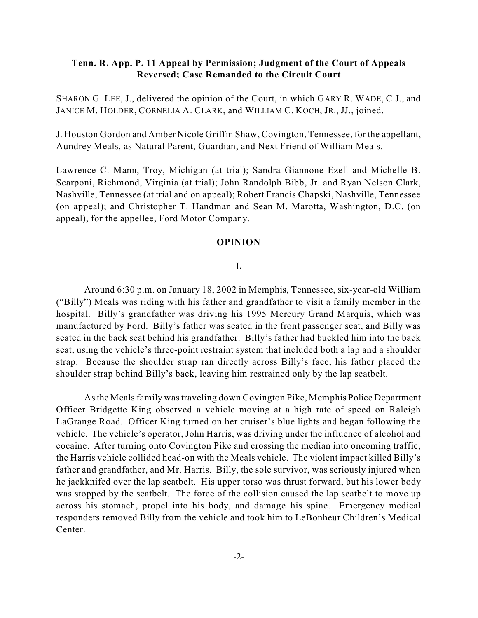## **Tenn. R. App. P. 11 Appeal by Permission; Judgment of the Court of Appeals Reversed; Case Remanded to the Circuit Court**

SHARON G. LEE, J., delivered the opinion of the Court, in which GARY R. WADE, C.J., and JANICE M. HOLDER, CORNELIA A. CLARK, and WILLIAM C. KOCH, JR., JJ., joined.

J. Houston Gordon and Amber Nicole Griffin Shaw, Covington, Tennessee, for the appellant, Aundrey Meals, as Natural Parent, Guardian, and Next Friend of William Meals.

Lawrence C. Mann, Troy, Michigan (at trial); Sandra Giannone Ezell and Michelle B. Scarponi, Richmond, Virginia (at trial); John Randolph Bibb, Jr. and Ryan Nelson Clark, Nashville, Tennessee (at trial and on appeal); Robert Francis Chapski, Nashville, Tennessee (on appeal); and Christopher T. Handman and Sean M. Marotta, Washington, D.C. (on appeal), for the appellee, Ford Motor Company.

#### **OPINION**

### **I.**

Around 6:30 p.m. on January 18, 2002 in Memphis, Tennessee, six-year-old William ("Billy") Meals was riding with his father and grandfather to visit a family member in the hospital. Billy's grandfather was driving his 1995 Mercury Grand Marquis, which was manufactured by Ford. Billy's father was seated in the front passenger seat, and Billy was seated in the back seat behind his grandfather. Billy's father had buckled him into the back seat, using the vehicle's three-point restraint system that included both a lap and a shoulder strap. Because the shoulder strap ran directly across Billy's face, his father placed the shoulder strap behind Billy's back, leaving him restrained only by the lap seatbelt.

Asthe Mealsfamily wastraveling down Covington Pike, Memphis Police Department Officer Bridgette King observed a vehicle moving at a high rate of speed on Raleigh LaGrange Road. Officer King turned on her cruiser's blue lights and began following the vehicle. The vehicle's operator, John Harris, was driving under the influence of alcohol and cocaine. After turning onto Covington Pike and crossing the median into oncoming traffic, the Harris vehicle collided head-on with the Meals vehicle. The violent impact killed Billy's father and grandfather, and Mr. Harris. Billy, the sole survivor, was seriously injured when he jackknifed over the lap seatbelt. His upper torso was thrust forward, but his lower body was stopped by the seatbelt. The force of the collision caused the lap seatbelt to move up across his stomach, propel into his body, and damage his spine. Emergency medical responders removed Billy from the vehicle and took him to LeBonheur Children's Medical Center.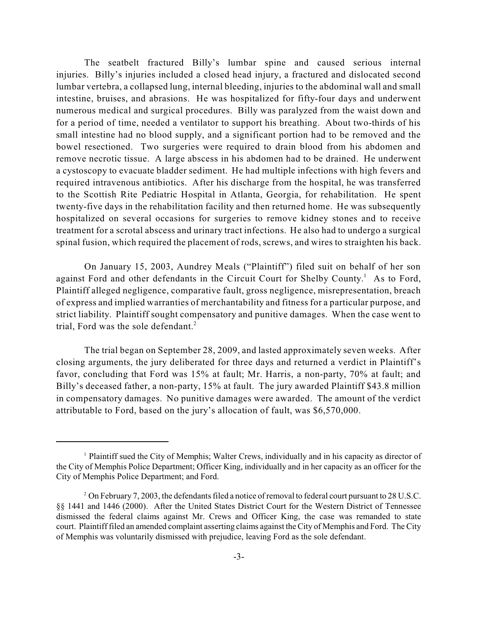The seatbelt fractured Billy's lumbar spine and caused serious internal injuries. Billy's injuries included a closed head injury, a fractured and dislocated second lumbar vertebra, a collapsed lung, internal bleeding, injuries to the abdominal wall and small intestine, bruises, and abrasions. He was hospitalized for fifty-four days and underwent numerous medical and surgical procedures. Billy was paralyzed from the waist down and for a period of time, needed a ventilator to support his breathing. About two-thirds of his small intestine had no blood supply, and a significant portion had to be removed and the bowel resectioned. Two surgeries were required to drain blood from his abdomen and remove necrotic tissue. A large abscess in his abdomen had to be drained. He underwent a cystoscopy to evacuate bladder sediment. He had multiple infections with high fevers and required intravenous antibiotics. After his discharge from the hospital, he was transferred to the Scottish Rite Pediatric Hospital in Atlanta, Georgia, for rehabilitation. He spent twenty-five days in the rehabilitation facility and then returned home. He was subsequently hospitalized on several occasions for surgeries to remove kidney stones and to receive treatment for a scrotal abscess and urinary tract infections. He also had to undergo a surgical spinal fusion, which required the placement of rods, screws, and wires to straighten his back.

On January 15, 2003, Aundrey Meals ("Plaintiff") filed suit on behalf of her son against Ford and other defendants in the Circuit Court for Shelby County.<sup>1</sup> As to Ford, Plaintiff alleged negligence, comparative fault, gross negligence, misrepresentation, breach of express and implied warranties of merchantability and fitness for a particular purpose, and strict liability. Plaintiff sought compensatory and punitive damages. When the case went to trial, Ford was the sole defendant. 2

The trial began on September 28, 2009, and lasted approximately seven weeks. After closing arguments, the jury deliberated for three days and returned a verdict in Plaintiff's favor, concluding that Ford was 15% at fault; Mr. Harris, a non-party, 70% at fault; and Billy's deceased father, a non-party, 15% at fault. The jury awarded Plaintiff \$43.8 million in compensatory damages. No punitive damages were awarded. The amount of the verdict attributable to Ford, based on the jury's allocation of fault, was \$6,570,000.

<sup>&</sup>lt;sup>1</sup> Plaintiff sued the City of Memphis; Walter Crews, individually and in his capacity as director of the City of Memphis Police Department; Officer King, individually and in her capacity as an officer for the City of Memphis Police Department; and Ford.

<sup>&</sup>lt;sup>2</sup> On February 7, 2003, the defendants filed a notice of removal to federal court pursuant to 28 U.S.C. §§ 1441 and 1446 (2000). After the United States District Court for the Western District of Tennessee dismissed the federal claims against Mr. Crews and Officer King, the case was remanded to state court. Plaintiff filed an amended complaint asserting claims against theCity of Memphis and Ford. The City of Memphis was voluntarily dismissed with prejudice, leaving Ford as the sole defendant.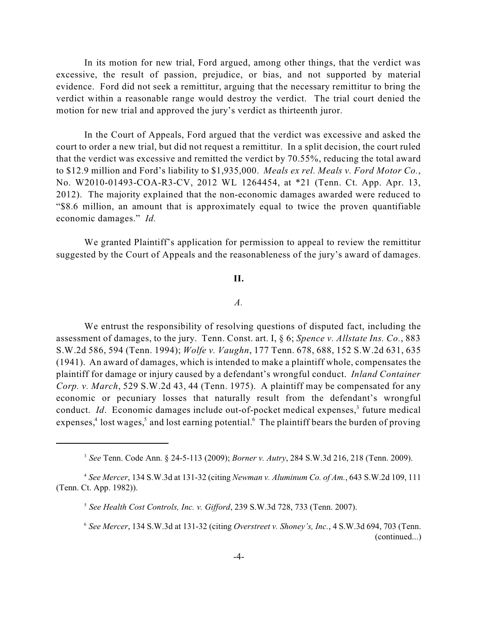In its motion for new trial, Ford argued, among other things, that the verdict was excessive, the result of passion, prejudice, or bias, and not supported by material evidence. Ford did not seek a remittitur, arguing that the necessary remittitur to bring the verdict within a reasonable range would destroy the verdict. The trial court denied the motion for new trial and approved the jury's verdict as thirteenth juror.

In the Court of Appeals, Ford argued that the verdict was excessive and asked the court to order a new trial, but did not request a remittitur. In a split decision, the court ruled that the verdict was excessive and remitted the verdict by 70.55%, reducing the total award to \$12.9 million and Ford's liability to \$1,935,000. *Meals ex rel. Meals v. Ford Motor Co.*, No. W2010-01493-COA-R3-CV, 2012 WL 1264454, at \*21 (Tenn. Ct. App. Apr. 13, 2012). The majority explained that the non-economic damages awarded were reduced to "\$8.6 million, an amount that is approximately equal to twice the proven quantifiable economic damages." *Id.*

We granted Plaintiff's application for permission to appeal to review the remittitur suggested by the Court of Appeals and the reasonableness of the jury's award of damages.

#### **II.**

#### *A.*

We entrust the responsibility of resolving questions of disputed fact, including the assessment of damages, to the jury. Tenn. Const. art. I, § 6; *Spence v. Allstate Ins. Co.*, 883 S.W.2d 586, 594 (Tenn. 1994); *Wolfe v. Vaughn*, 177 Tenn. 678, 688, 152 S.W.2d 631, 635 (1941). An award of damages, which is intended to make a plaintiff whole, compensates the plaintiff for damage or injury caused by a defendant's wrongful conduct. *Inland Container Corp. v. March*, 529 S.W.2d 43, 44 (Tenn. 1975). A plaintiff may be compensated for any economic or pecuniary losses that naturally result from the defendant's wrongful conduct. *Id*. Economic damages include out-of-pocket medical expenses,<sup>3</sup> future medical expenses,<sup>4</sup> lost wages,<sup>5</sup> and lost earning potential.<sup>6</sup> The plaintiff bears the burden of proving

*See* Tenn. Code Ann. § 24-5-113 (2009); *Borner v. Autry*, 284 S.W.3d 216, 218 (Tenn. 2009). <sup>3</sup>

*See Mercer*, 134 S.W.3d at 131-32 (citing *Newman v. Aluminum Co. of Am.*, 643 S.W.2d 109, 111 <sup>4</sup> (Tenn. Ct. App. 1982)).

<sup>&</sup>lt;sup>5</sup> See Health Cost Controls, Inc. v. Gifford, 239 S.W.3d 728, 733 (Tenn. 2007).

*See Mercer*, 134 S.W.3d at 131-32 (citing *Overstreet v. Shoney's, Inc.*, 4 S.W.3d 694, 703 (Tenn. 6 (continued...)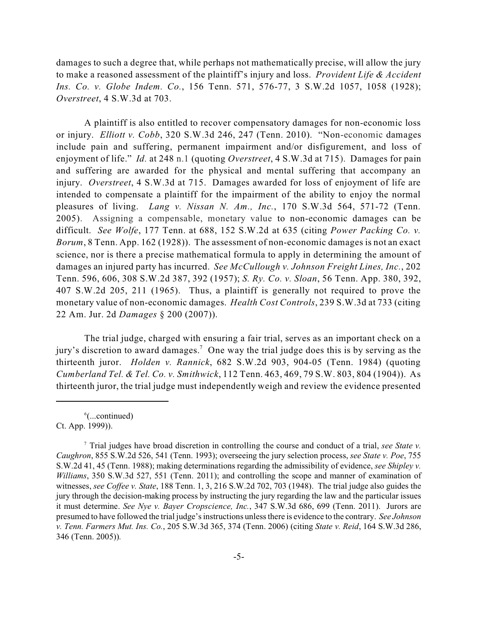damages to such a degree that, while perhaps not mathematically precise, will allow the jury to make a reasoned assessment of the plaintiff's injury and loss. *Provident Life & Accident Ins. Co. v. Globe Indem. Co.*, 156 Tenn. 571, 576-77, 3 S.W.2d 1057, 1058 (1928); *Overstreet*, 4 S.W.3d at 703.

A plaintiff is also entitled to recover compensatory damages for non-economic loss or injury. *Elliott v. Cobb*, 320 S.W.3d 246, 247 (Tenn. 2010). "Non-economic damages include pain and suffering, permanent impairment and/or disfigurement, and loss of enjoyment of life." *Id.* at 248 n.1 (quoting *Overstreet*, 4 S.W.3d at 715). Damages for pain and suffering are awarded for the physical and mental suffering that accompany an injury. *Overstreet*, 4 S.W.3d at 715. Damages awarded for loss of enjoyment of life are intended to compensate a plaintiff for the impairment of the ability to enjoy the normal pleasures of living. *Lang v. Nissan N. Am., Inc.*, 170 S.W.3d 564, 571-72 (Tenn. 2005). Assigning a compensable, monetary value to non-economic damages can be difficult. *See Wolfe*, 177 Tenn. at 688, 152 S.W.2d at 635 (citing *Power Packing Co. v. Borum*, 8 Tenn. App. 162 (1928)). The assessment of non-economic damages is not an exact science, nor is there a precise mathematical formula to apply in determining the amount of damages an injured party has incurred. *See McCullough v. Johnson Freight Lines, Inc.*, 202 Tenn. 596, 606, 308 S.W.2d 387, 392 (1957); *S. Ry. Co. v. Sloan*, 56 Tenn. App. 380, 392, 407 S.W.2d 205, 211 (1965). Thus, a plaintiff is generally not required to prove the monetary value of non-economic damages. *Health Cost Controls*, 239 S.W.3d at 733 (citing 22 Am. Jur. 2d *Damages* § 200 (2007)).

The trial judge, charged with ensuring a fair trial, serves as an important check on a jury's discretion to award damages.<sup>7</sup> One way the trial judge does this is by serving as the thirteenth juror. *Holden v. Rannick*, 682 S.W.2d 903, 904-05 (Tenn. 1984) (quoting *Cumberland Tel. & Tel. Co. v. Smithwick*, 112 Tenn. 463, 469, 79 S.W. 803, 804 (1904)). As thirteenth juror, the trial judge must independently weigh and review the evidence presented

 $^6$ (...continued) Ct. App. 1999)).

Trial judges have broad discretion in controlling the course and conduct of a trial, *see State v.* <sup>7</sup> *Caughron*, 855 S.W.2d 526, 541 (Tenn. 1993); overseeing the jury selection process, *see State v. Poe*, 755 S.W.2d 41, 45 (Tenn. 1988); making determinations regarding the admissibility of evidence, *see Shipley v. Williams*, 350 S.W.3d 527, 551 (Tenn. 2011); and controlling the scope and manner of examination of witnesses, *see Coffee v. State*, 188 Tenn. 1, 3, 216 S.W.2d 702, 703 (1948). The trial judge also guides the jury through the decision-making process by instructing the jury regarding the law and the particular issues it must determine. *See Nye v. Bayer Cropscience, Inc.*, 347 S.W.3d 686, 699 (Tenn. 2011). Jurors are presumed to have followed the trial judge'sinstructions unlessthere is evidence to the contrary. *See Johnson v. Tenn. Farmers Mut. Ins. Co.*, 205 S.W.3d 365, 374 (Tenn. 2006) (citing *State v. Reid*, 164 S.W.3d 286, 346 (Tenn. 2005))*.*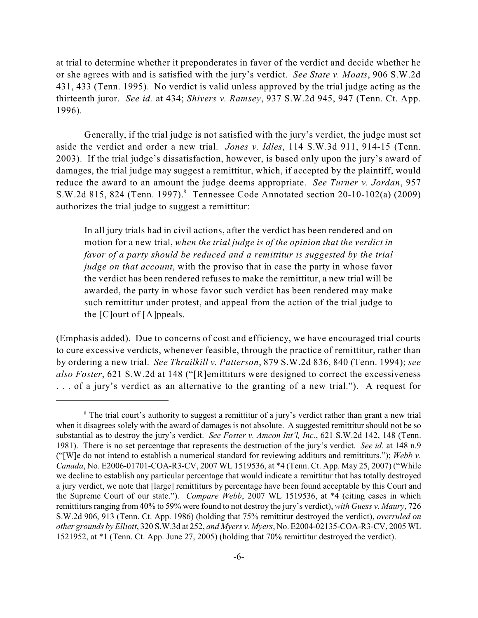at trial to determine whether it preponderates in favor of the verdict and decide whether he or she agrees with and is satisfied with the jury's verdict. *See State v. Moats*, 906 S.W.2d 431, 433 (Tenn. 1995). No verdict is valid unless approved by the trial judge acting as the thirteenth juror. *See id.* at 434; *Shivers v. Ramsey*, 937 S.W.2d 945, 947 (Tenn. Ct. App. 1996)*.*

Generally, if the trial judge is not satisfied with the jury's verdict, the judge must set aside the verdict and order a new trial. *Jones v. Idles*, 114 S.W.3d 911, 914-15 (Tenn. 2003). If the trial judge's dissatisfaction, however, is based only upon the jury's award of damages, the trial judge may suggest a remittitur, which, if accepted by the plaintiff, would reduce the award to an amount the judge deems appropriate. *See Turner v. Jordan*, 957 S.W.2d 815, 824 (Tenn. 1997). <sup>8</sup> Tennessee Code Annotated section 20-10-102(a) (2009) authorizes the trial judge to suggest a remittitur:

In all jury trials had in civil actions, after the verdict has been rendered and on motion for a new trial, *when the trial judge is of the opinion that the verdict in favor of a party should be reduced and a remittitur is suggested by the trial judge on that account*, with the proviso that in case the party in whose favor the verdict has been rendered refuses to make the remittitur, a new trial will be awarded, the party in whose favor such verdict has been rendered may make such remittitur under protest, and appeal from the action of the trial judge to the [C]ourt of [A]ppeals.

(Emphasis added). Due to concerns of cost and efficiency, we have encouraged trial courts to cure excessive verdicts, whenever feasible, through the practice of remittitur, rather than by ordering a new trial. *See Thrailkill v. Patterson*, 879 S.W.2d 836, 840 (Tenn. 1994); *see also Foster*, 621 S.W.2d at 148 ("[R]emittiturs were designed to correct the excessiveness . . . of a jury's verdict as an alternative to the granting of a new trial."). A request for

<sup>&</sup>lt;sup>8</sup> The trial court's authority to suggest a remittitur of a jury's verdict rather than grant a new trial when it disagrees solely with the award of damages is not absolute. A suggested remittitur should not be so substantial as to destroy the jury's verdict. *See Foster v. Amcon Int'l, Inc.*, 621 S.W.2d 142, 148 (Tenn. 1981). There is no set percentage that represents the destruction of the jury's verdict. *See id.* at 148 n.9 ("[W]e do not intend to establish a numerical standard for reviewing additurs and remittiturs."); *Webb v. Canada*, No. E2006-01701-COA-R3-CV, 2007 WL 1519536, at \*4 (Tenn. Ct. App. May 25, 2007) ("While we decline to establish any particular percentage that would indicate a remittitur that has totally destroyed a jury verdict, we note that [large] remittiturs by percentage have been found acceptable by this Court and the Supreme Court of our state."). *Compare Webb*, 2007 WL 1519536, at \*4 (citing cases in which remittiturs ranging from 40% to 59% were found to not destroy the jury's verdict), *with Guess v. Maury*, 726 S.W.2d 906, 913 (Tenn. Ct. App. 1986) (holding that 75% remittitur destroyed the verdict), *overruled on other grounds by Elliott*, 320 S.W.3d at 252, *and Myers v. Myers*, No. E2004-02135-COA-R3-CV, 2005 WL 1521952, at \*1 (Tenn. Ct. App. June 27, 2005) (holding that 70% remittitur destroyed the verdict).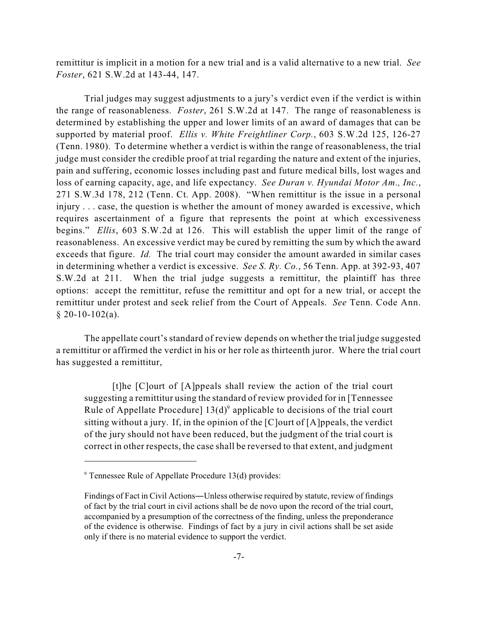remittitur is implicit in a motion for a new trial and is a valid alternative to a new trial. *See Foster*, 621 S.W.2d at 143-44, 147.

Trial judges may suggest adjustments to a jury's verdict even if the verdict is within the range of reasonableness. *Foster*, 261 S.W.2d at 147. The range of reasonableness is determined by establishing the upper and lower limits of an award of damages that can be supported by material proof. *Ellis v. White Freightliner Corp.*, 603 S.W.2d 125, 126-27 (Tenn. 1980). To determine whether a verdict is within the range of reasonableness, the trial judge must consider the credible proof at trial regarding the nature and extent of the injuries, pain and suffering, economic losses including past and future medical bills, lost wages and loss of earning capacity, age, and life expectancy. *See Duran v. Hyundai Motor Am., Inc.*, 271 S.W.3d 178, 212 (Tenn. Ct. App. 2008). "When remittitur is the issue in a personal injury . . . case, the question is whether the amount of money awarded is excessive, which requires ascertainment of a figure that represents the point at which excessiveness begins." *Ellis*, 603 S.W.2d at 126. This will establish the upper limit of the range of reasonableness. An excessive verdict may be cured by remitting the sum by which the award exceeds that figure. *Id.* The trial court may consider the amount awarded in similar cases in determining whether a verdict is excessive. *See S. Ry. Co.*, 56 Tenn. App. at 392-93, 407 S.W.2d at 211. When the trial judge suggests a remittitur, the plaintiff has three options: accept the remittitur, refuse the remittitur and opt for a new trial, or accept the remittitur under protest and seek relief from the Court of Appeals. *See* Tenn. Code Ann.  $§$  20-10-102(a).

The appellate court's standard of review depends on whether the trial judge suggested a remittitur or affirmed the verdict in his or her role as thirteenth juror. Where the trial court has suggested a remittitur,

[t]he [C]ourt of [A]ppeals shall review the action of the trial court suggesting a remittitur using the standard of review provided for in [Tennessee Rule of Appellate Procedure]  $13(d)$ <sup>9</sup> applicable to decisions of the trial court sitting without a jury. If, in the opinion of the  $[C]$  ourt of  $[A]$  ppeals, the verdict of the jury should not have been reduced, but the judgment of the trial court is correct in other respects, the case shall be reversed to that extent, and judgment

 $9$  Tennessee Rule of Appellate Procedure 13(d) provides:

Findings of Fact in Civil Actions—Unless otherwise required by statute, review of findings of fact by the trial court in civil actions shall be de novo upon the record of the trial court, accompanied by a presumption of the correctness of the finding, unless the preponderance of the evidence is otherwise. Findings of fact by a jury in civil actions shall be set aside only if there is no material evidence to support the verdict.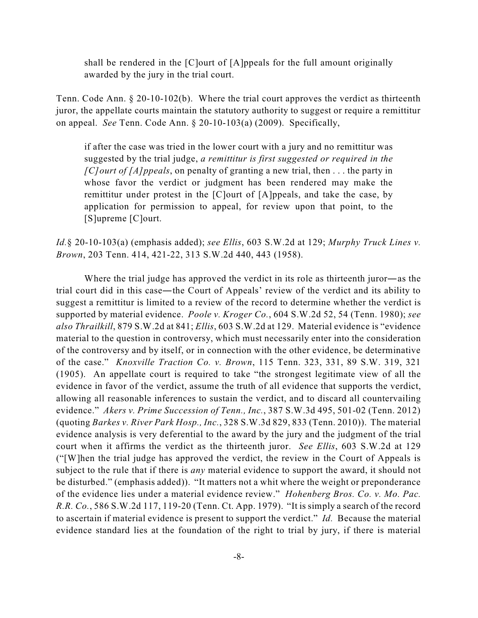shall be rendered in the [C]ourt of [A]ppeals for the full amount originally awarded by the jury in the trial court.

Tenn. Code Ann. § 20-10-102(b). Where the trial court approves the verdict as thirteenth juror, the appellate courts maintain the statutory authority to suggest or require a remittitur on appeal. *See* Tenn. Code Ann. § 20-10-103(a) (2009). Specifically,

if after the case was tried in the lower court with a jury and no remittitur was suggested by the trial judge, *a remittitur is first suggested or required in the [C]ourt of [A]ppeals*, on penalty of granting a new trial, then . . . the party in whose favor the verdict or judgment has been rendered may make the remittitur under protest in the [C]ourt of [A]ppeals, and take the case, by application for permission to appeal, for review upon that point, to the [S]upreme [C]ourt.

*Id.*§ 20-10-103(a) (emphasis added); *see Ellis*, 603 S.W.2d at 129; *Murphy Truck Lines v. Brown*, 203 Tenn. 414, 421-22, 313 S.W.2d 440, 443 (1958).

Where the trial judge has approved the verdict in its role as thirteenth juror—as the trial court did in this case—the Court of Appeals' review of the verdict and its ability to suggest a remittitur is limited to a review of the record to determine whether the verdict is supported by material evidence. *Poole v. Kroger Co.*, 604 S.W.2d 52, 54 (Tenn. 1980); *see also Thrailkill*, 879 S.W.2d at 841; *Ellis*, 603 S.W.2d at 129. Material evidence is "evidence material to the question in controversy, which must necessarily enter into the consideration of the controversy and by itself, or in connection with the other evidence, be determinative of the case." *Knoxville Traction Co. v. Brown*, 115 Tenn. 323, 331, 89 S.W. 319, 321 (1905). An appellate court is required to take "the strongest legitimate view of all the evidence in favor of the verdict, assume the truth of all evidence that supports the verdict, allowing all reasonable inferences to sustain the verdict, and to discard all countervailing evidence." *Akers v. Prime Succession of Tenn., Inc.*, 387 S.W.3d 495, 501-02 (Tenn. 2012) (quoting *Barkes v. River Park Hosp., Inc.*, 328 S.W.3d 829, 833 (Tenn. 2010)). The material evidence analysis is very deferential to the award by the jury and the judgment of the trial court when it affirms the verdict as the thirteenth juror. *See Ellis*, 603 S.W.2d at 129 ("[W]hen the trial judge has approved the verdict, the review in the Court of Appeals is subject to the rule that if there is *any* material evidence to support the award, it should not be disturbed." (emphasis added)). "It matters not a whit where the weight or preponderance of the evidence lies under a material evidence review." *Hohenberg Bros. Co. v. Mo. Pac. R.R. Co.*, 586 S.W.2d 117, 119-20 (Tenn. Ct. App. 1979). "It is simply a search of the record to ascertain if material evidence is present to support the verdict." *Id.* Because the material evidence standard lies at the foundation of the right to trial by jury, if there is material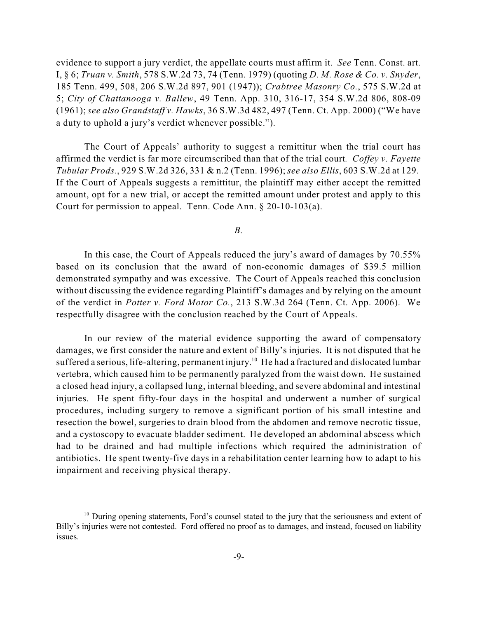evidence to support a jury verdict, the appellate courts must affirm it. *See* Tenn. Const. art. I, § 6; *Truan v. Smith*, 578 S.W.2d 73, 74 (Tenn. 1979) (quoting *D. M. Rose & Co. v. Snyder*, 185 Tenn. 499, 508, 206 S.W.2d 897, 901 (1947)); *Crabtree Masonry Co.*, 575 S.W.2d at 5; *City of Chattanooga v. Ballew*, 49 Tenn. App. 310, 316-17, 354 S.W.2d 806, 808-09 (1961); *see also Grandstaff v. Hawks*, 36 S.W.3d 482, 497 (Tenn. Ct. App. 2000) ("We have a duty to uphold a jury's verdict whenever possible.").

The Court of Appeals' authority to suggest a remittitur when the trial court has affirmed the verdict is far more circumscribed than that of the trial court*. Coffey v. Fayette Tubular Prods.*, 929 S.W.2d 326, 331 & n.2 (Tenn. 1996); *see also Ellis*, 603 S.W.2d at 129. If the Court of Appeals suggests a remittitur, the plaintiff may either accept the remitted amount, opt for a new trial, or accept the remitted amount under protest and apply to this Court for permission to appeal. Tenn. Code Ann. § 20-10-103(a).

*B.*

In this case, the Court of Appeals reduced the jury's award of damages by 70.55% based on its conclusion that the award of non-economic damages of \$39.5 million demonstrated sympathy and was excessive. The Court of Appeals reached this conclusion without discussing the evidence regarding Plaintiff's damages and by relying on the amount of the verdict in *Potter v. Ford Motor Co.*, 213 S.W.3d 264 (Tenn. Ct. App. 2006). We respectfully disagree with the conclusion reached by the Court of Appeals.

In our review of the material evidence supporting the award of compensatory damages, we first consider the nature and extent of Billy's injuries. It is not disputed that he suffered a serious, life-altering, permanent injury.<sup>10</sup> He had a fractured and dislocated lumbar vertebra, which caused him to be permanently paralyzed from the waist down. He sustained a closed head injury, a collapsed lung, internal bleeding, and severe abdominal and intestinal injuries. He spent fifty-four days in the hospital and underwent a number of surgical procedures, including surgery to remove a significant portion of his small intestine and resection the bowel, surgeries to drain blood from the abdomen and remove necrotic tissue, and a cystoscopy to evacuate bladder sediment. He developed an abdominal abscess which had to be drained and had multiple infections which required the administration of antibiotics. He spent twenty-five days in a rehabilitation center learning how to adapt to his impairment and receiving physical therapy.

 $10$  During opening statements, Ford's counsel stated to the jury that the seriousness and extent of Billy's injuries were not contested. Ford offered no proof as to damages, and instead, focused on liability issues.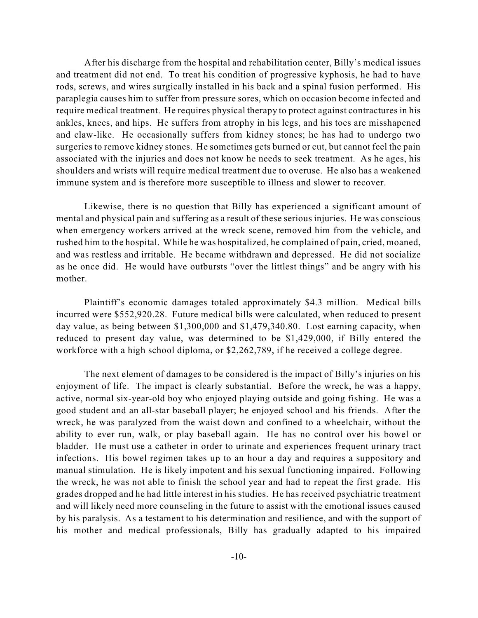After his discharge from the hospital and rehabilitation center, Billy's medical issues and treatment did not end. To treat his condition of progressive kyphosis, he had to have rods, screws, and wires surgically installed in his back and a spinal fusion performed. His paraplegia causes him to suffer from pressure sores, which on occasion become infected and require medical treatment. He requires physical therapy to protect against contractures in his ankles, knees, and hips. He suffers from atrophy in his legs, and his toes are misshapened and claw-like. He occasionally suffers from kidney stones; he has had to undergo two surgeries to remove kidney stones. He sometimes gets burned or cut, but cannot feel the pain associated with the injuries and does not know he needs to seek treatment. As he ages, his shoulders and wrists will require medical treatment due to overuse. He also has a weakened immune system and is therefore more susceptible to illness and slower to recover.

Likewise, there is no question that Billy has experienced a significant amount of mental and physical pain and suffering as a result of these serious injuries. He was conscious when emergency workers arrived at the wreck scene, removed him from the vehicle, and rushed him to the hospital. While he was hospitalized, he complained of pain, cried, moaned, and was restless and irritable. He became withdrawn and depressed. He did not socialize as he once did. He would have outbursts "over the littlest things" and be angry with his mother.

Plaintiff's economic damages totaled approximately \$4.3 million. Medical bills incurred were \$552,920.28. Future medical bills were calculated, when reduced to present day value, as being between \$1,300,000 and \$1,479,340.80. Lost earning capacity, when reduced to present day value, was determined to be \$1,429,000, if Billy entered the workforce with a high school diploma, or \$2,262,789, if he received a college degree.

The next element of damages to be considered is the impact of Billy's injuries on his enjoyment of life. The impact is clearly substantial. Before the wreck, he was a happy, active, normal six-year-old boy who enjoyed playing outside and going fishing. He was a good student and an all-star baseball player; he enjoyed school and his friends. After the wreck, he was paralyzed from the waist down and confined to a wheelchair, without the ability to ever run, walk, or play baseball again. He has no control over his bowel or bladder. He must use a catheter in order to urinate and experiences frequent urinary tract infections. His bowel regimen takes up to an hour a day and requires a suppository and manual stimulation. He is likely impotent and his sexual functioning impaired. Following the wreck, he was not able to finish the school year and had to repeat the first grade. His grades dropped and he had little interest in his studies. He has received psychiatric treatment and will likely need more counseling in the future to assist with the emotional issues caused by his paralysis. As a testament to his determination and resilience, and with the support of his mother and medical professionals, Billy has gradually adapted to his impaired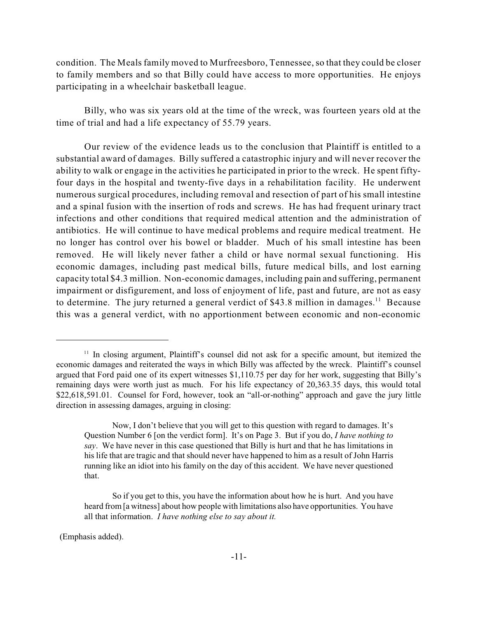condition. The Meals family moved to Murfreesboro, Tennessee, so that they could be closer to family members and so that Billy could have access to more opportunities. He enjoys participating in a wheelchair basketball league.

Billy, who was six years old at the time of the wreck, was fourteen years old at the time of trial and had a life expectancy of 55.79 years.

Our review of the evidence leads us to the conclusion that Plaintiff is entitled to a substantial award of damages. Billy suffered a catastrophic injury and will never recover the ability to walk or engage in the activities he participated in prior to the wreck. He spent fiftyfour days in the hospital and twenty-five days in a rehabilitation facility. He underwent numerous surgical procedures, including removal and resection of part of his small intestine and a spinal fusion with the insertion of rods and screws. He has had frequent urinary tract infections and other conditions that required medical attention and the administration of antibiotics. He will continue to have medical problems and require medical treatment. He no longer has control over his bowel or bladder. Much of his small intestine has been removed. He will likely never father a child or have normal sexual functioning. His economic damages, including past medical bills, future medical bills, and lost earning capacity total \$4.3 million. Non-economic damages, including pain and suffering, permanent impairment or disfigurement, and loss of enjoyment of life, past and future, are not as easy to determine. The jury returned a general verdict of \$43.8 million in damages.<sup>11</sup> Because this was a general verdict, with no apportionment between economic and non-economic

(Emphasis added).

<sup>&</sup>lt;sup>11</sup> In closing argument, Plaintiff's counsel did not ask for a specific amount, but itemized the economic damages and reiterated the ways in which Billy was affected by the wreck. Plaintiff's counsel argued that Ford paid one of its expert witnesses \$1,110.75 per day for her work, suggesting that Billy's remaining days were worth just as much. For his life expectancy of 20,363.35 days, this would total \$22,618,591.01. Counsel for Ford, however, took an "all-or-nothing" approach and gave the jury little direction in assessing damages, arguing in closing:

Now, I don't believe that you will get to this question with regard to damages. It's Question Number 6 [on the verdict form]. It's on Page 3. But if you do, *I have nothing to say*. We have never in this case questioned that Billy is hurt and that he has limitations in his life that are tragic and that should never have happened to him as a result of John Harris running like an idiot into his family on the day of this accident. We have never questioned that.

So if you get to this, you have the information about how he is hurt. And you have heard from[a witness] about how people with limitations also have opportunities. You have all that information. *I have nothing else to say about it.*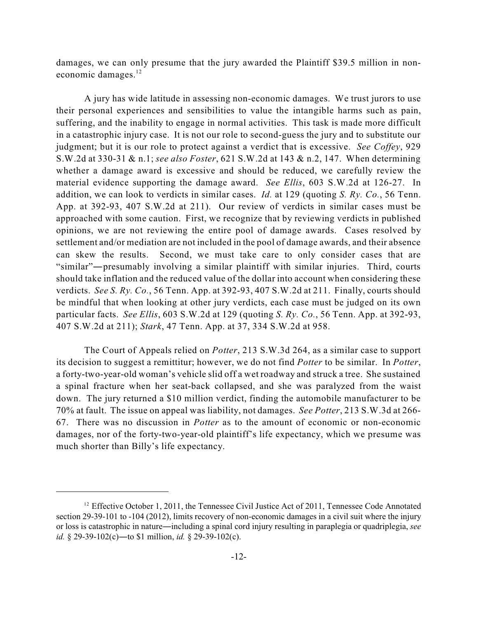damages, we can only presume that the jury awarded the Plaintiff \$39.5 million in noneconomic damages.<sup>12</sup>

A jury has wide latitude in assessing non-economic damages. We trust jurors to use their personal experiences and sensibilities to value the intangible harms such as pain, suffering, and the inability to engage in normal activities. This task is made more difficult in a catastrophic injury case. It is not our role to second-guess the jury and to substitute our judgment; but it is our role to protect against a verdict that is excessive. *See Coffey*, 929 S.W.2d at 330-31 & n.1; *see also Foster*, 621 S.W.2d at 143 & n.2, 147. When determining whether a damage award is excessive and should be reduced, we carefully review the material evidence supporting the damage award. *See Ellis*, 603 S.W.2d at 126-27. In addition, we can look to verdicts in similar cases. *Id.* at 129 (quoting *S. Ry. Co.*, 56 Tenn. App. at 392-93, 407 S.W.2d at 211). Our review of verdicts in similar cases must be approached with some caution. First, we recognize that by reviewing verdicts in published opinions, we are not reviewing the entire pool of damage awards. Cases resolved by settlement and/or mediation are not included in the pool of damage awards, and their absence can skew the results. Second, we must take care to only consider cases that are "similar"—presumably involving a similar plaintiff with similar injuries. Third, courts should take inflation and the reduced value of the dollar into account when considering these verdicts. *See S. Ry. Co.*, 56 Tenn. App. at 392-93, 407 S.W.2d at 211. Finally, courts should be mindful that when looking at other jury verdicts, each case must be judged on its own particular facts. *See Ellis*, 603 S.W.2d at 129 (quoting *S. Ry. Co.*, 56 Tenn. App. at 392-93, 407 S.W.2d at 211); *Stark*, 47 Tenn. App. at 37, 334 S.W.2d at 958.

The Court of Appeals relied on *Potter*, 213 S.W.3d 264, as a similar case to support its decision to suggest a remittitur; however, we do not find *Potter* to be similar. In *Potter*, a forty-two-year-old woman's vehicle slid off a wet roadway and struck a tree. She sustained a spinal fracture when her seat-back collapsed, and she was paralyzed from the waist down. The jury returned a \$10 million verdict, finding the automobile manufacturer to be 70% at fault. The issue on appeal was liability, not damages. *See Potter*, 213 S.W.3d at 266- 67. There was no discussion in *Potter* as to the amount of economic or non-economic damages, nor of the forty-two-year-old plaintiff's life expectancy, which we presume was much shorter than Billy's life expectancy.

 $12$  Effective October 1, 2011, the Tennessee Civil Justice Act of 2011, Tennessee Code Annotated section 29-39-101 to -104 (2012), limits recovery of non-economic damages in a civil suit where the injury or loss is catastrophic in nature—including a spinal cord injury resulting in paraplegia or quadriplegia, *see id.* § 29-39-102(c)—to \$1 million, *id.* § 29-39-102(c).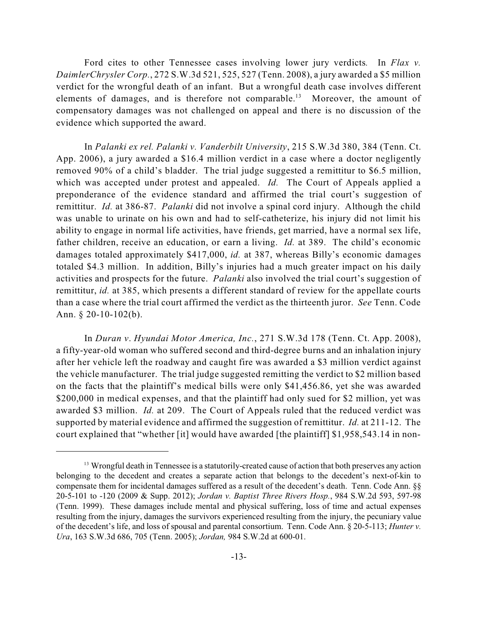Ford cites to other Tennessee cases involving lower jury verdicts*.* In *Flax v. DaimlerChrysler Corp.*, 272 S.W.3d 521, 525, 527 (Tenn. 2008), a jury awarded a \$5 million verdict for the wrongful death of an infant. But a wrongful death case involves different elements of damages, and is therefore not comparable.<sup>13</sup> Moreover, the amount of compensatory damages was not challenged on appeal and there is no discussion of the evidence which supported the award.

In *Palanki ex rel. Palanki v. Vanderbilt University*, 215 S.W.3d 380, 384 (Tenn. Ct. App. 2006), a jury awarded a \$16.4 million verdict in a case where a doctor negligently removed 90% of a child's bladder. The trial judge suggested a remittitur to \$6.5 million, which was accepted under protest and appealed. *Id.* The Court of Appeals applied a preponderance of the evidence standard and affirmed the trial court's suggestion of remittitur. *Id.* at 386-87. *Palanki* did not involve a spinal cord injury. Although the child was unable to urinate on his own and had to self-catheterize, his injury did not limit his ability to engage in normal life activities, have friends, get married, have a normal sex life, father children, receive an education, or earn a living. *Id.* at 389. The child's economic damages totaled approximately \$417,000, *id.* at 387, whereas Billy's economic damages totaled \$4.3 million. In addition, Billy's injuries had a much greater impact on his daily activities and prospects for the future. *Palanki* also involved the trial court's suggestion of remittitur, *id.* at 385, which presents a different standard of review for the appellate courts than a case where the trial court affirmed the verdict as the thirteenth juror. *See* Tenn. Code Ann.  $§$  20-10-102(b).

In *Duran v*. *Hyundai Motor America, Inc.*, 271 S.W.3d 178 (Tenn. Ct. App. 2008), a fifty-year-old woman who suffered second and third-degree burns and an inhalation injury after her vehicle left the roadway and caught fire was awarded a \$3 million verdict against the vehicle manufacturer. The trial judge suggested remitting the verdict to \$2 million based on the facts that the plaintiff's medical bills were only \$41,456.86, yet she was awarded \$200,000 in medical expenses, and that the plaintiff had only sued for \$2 million, yet was awarded \$3 million. *Id.* at 209. The Court of Appeals ruled that the reduced verdict was supported by material evidence and affirmed the suggestion of remittitur. *Id.* at 211-12. The court explained that "whether [it] would have awarded [the plaintiff] \$1,958,543.14 in non-

<sup>&</sup>lt;sup>13</sup> Wrongful death in Tennessee is a statutorily-created cause of action that both preserves any action belonging to the decedent and creates a separate action that belongs to the decedent's next-of-kin to compensate them for incidental damages suffered as a result of the decedent's death. Tenn. Code Ann. §§ 20-5-101 to -120 (2009 & Supp. 2012); *Jordan v. Baptist Three Rivers Hosp.*, 984 S.W.2d 593, 597-98 (Tenn. 1999). These damages include mental and physical suffering, loss of time and actual expenses resulting from the injury, damages the survivors experienced resulting from the injury, the pecuniary value of the decedent's life, and loss of spousal and parental consortium. Tenn. Code Ann. § 20-5-113; *Hunter v. Ura*, 163 S.W.3d 686, 705 (Tenn. 2005); *Jordan,* 984 S.W.2d at 600-01.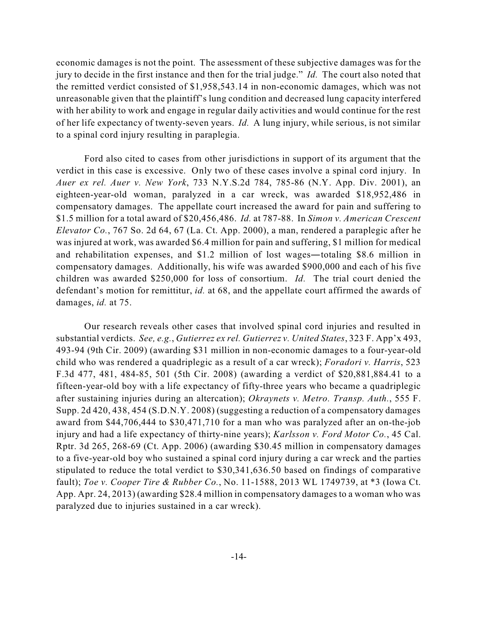economic damages is not the point. The assessment of these subjective damages was for the jury to decide in the first instance and then for the trial judge." *Id.* The court also noted that the remitted verdict consisted of \$1,958,543.14 in non-economic damages, which was not unreasonable given that the plaintiff's lung condition and decreased lung capacity interfered with her ability to work and engage in regular daily activities and would continue for the rest of her life expectancy of twenty-seven years. *Id.* A lung injury, while serious, is not similar to a spinal cord injury resulting in paraplegia.

Ford also cited to cases from other jurisdictions in support of its argument that the verdict in this case is excessive. Only two of these cases involve a spinal cord injury. In *Auer ex rel. Auer v. New York*, 733 N.Y.S.2d 784, 785-86 (N.Y. App. Div. 2001), an eighteen-year-old woman, paralyzed in a car wreck, was awarded \$18,952,486 in compensatory damages. The appellate court increased the award for pain and suffering to \$1.5 million for a total award of \$20,456,486. *Id.* at 787-88. In *Simon v. American Crescent Elevator Co.*, 767 So. 2d 64, 67 (La. Ct. App. 2000), a man, rendered a paraplegic after he was injured at work, was awarded \$6.4 million for pain and suffering, \$1 million for medical and rehabilitation expenses, and  $$1.2$  million of lost wages—totaling  $$8.6$  million in compensatory damages. Additionally, his wife was awarded \$900,000 and each of his five children was awarded \$250,000 for loss of consortium. *Id.* The trial court denied the defendant's motion for remittitur, *id.* at 68, and the appellate court affirmed the awards of damages, *id.* at 75.

Our research reveals other cases that involved spinal cord injuries and resulted in substantial verdicts. *See, e.g.*, *Gutierrez ex rel. Gutierrez v. United States*, 323 F. App'x 493, 493-94 (9th Cir. 2009) (awarding \$31 million in non-economic damages to a four-year-old child who was rendered a quadriplegic as a result of a car wreck); *Foradori v. Harris*, 523 F.3d 477, 481, 484-85, 501 (5th Cir. 2008) (awarding a verdict of \$20,881,884.41 to a fifteen-year-old boy with a life expectancy of fifty-three years who became a quadriplegic after sustaining injuries during an altercation); *Okraynets v. Metro. Transp. Auth.*, 555 F. Supp. 2d 420, 438, 454 (S.D.N.Y. 2008) (suggesting a reduction of a compensatory damages award from \$44,706,444 to \$30,471,710 for a man who was paralyzed after an on-the-job injury and had a life expectancy of thirty-nine years); *Karlsson v. Ford Motor Co.*, 45 Cal. Rptr. 3d 265, 268-69 (Ct. App. 2006) (awarding \$30.45 million in compensatory damages to a five-year-old boy who sustained a spinal cord injury during a car wreck and the parties stipulated to reduce the total verdict to \$30,341,636.50 based on findings of comparative fault); *Toe v. Cooper Tire & Rubber Co.*, No. 11-1588, 2013 WL 1749739, at \*3 (Iowa Ct. App. Apr. 24, 2013) (awarding \$28.4 million in compensatory damages to a woman who was paralyzed due to injuries sustained in a car wreck).